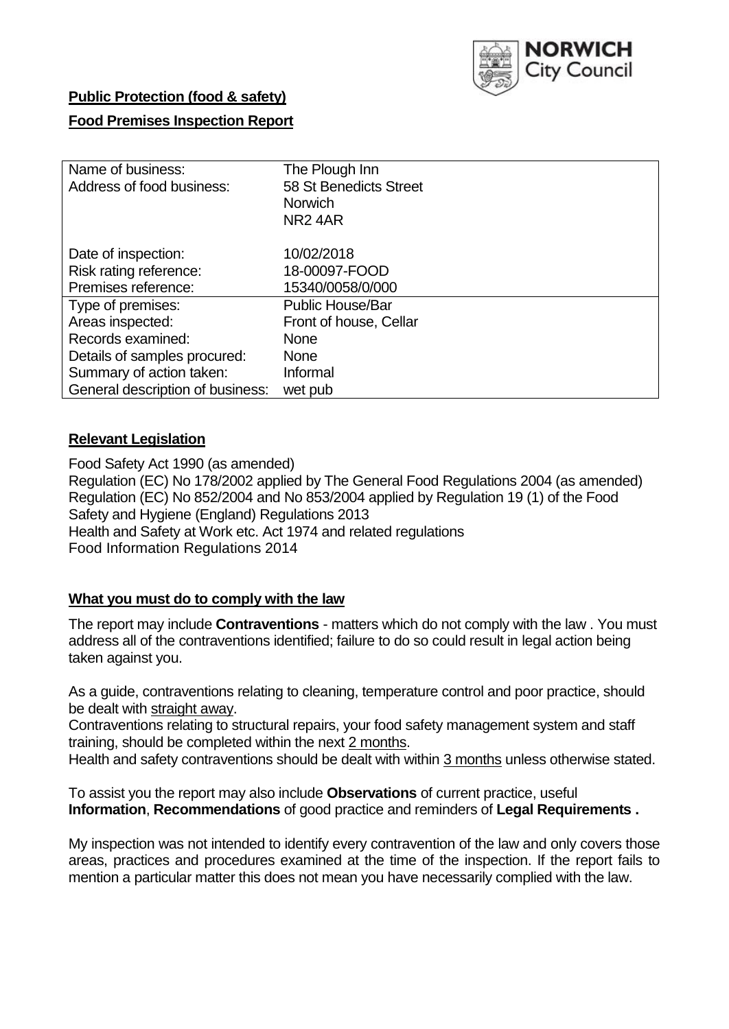

## **Public Protection (food & safety)**

## **Food Premises Inspection Report**

| Name of business:                | The Plough Inn          |  |  |  |  |  |
|----------------------------------|-------------------------|--|--|--|--|--|
| Address of food business:        | 58 St Benedicts Street  |  |  |  |  |  |
|                                  | <b>Norwich</b>          |  |  |  |  |  |
|                                  | NR <sub>2</sub> 4AR     |  |  |  |  |  |
| Date of inspection:              | 10/02/2018              |  |  |  |  |  |
| Risk rating reference:           | 18-00097-FOOD           |  |  |  |  |  |
| Premises reference:              | 15340/0058/0/000        |  |  |  |  |  |
| Type of premises:                | <b>Public House/Bar</b> |  |  |  |  |  |
| Areas inspected:                 | Front of house, Cellar  |  |  |  |  |  |
| Records examined:                | <b>None</b>             |  |  |  |  |  |
| Details of samples procured:     | <b>None</b>             |  |  |  |  |  |
| Summary of action taken:         | Informal                |  |  |  |  |  |
| General description of business: | wet pub                 |  |  |  |  |  |

### **Relevant Legislation**

Food Safety Act 1990 (as amended) Regulation (EC) No 178/2002 applied by The General Food Regulations 2004 (as amended) Regulation (EC) No 852/2004 and No 853/2004 applied by Regulation 19 (1) of the Food Safety and Hygiene (England) Regulations 2013 Health and Safety at Work etc. Act 1974 and related regulations Food Information Regulations 2014

## **What you must do to comply with the law**

The report may include **Contraventions** - matters which do not comply with the law . You must address all of the contraventions identified; failure to do so could result in legal action being taken against you.

As a guide, contraventions relating to cleaning, temperature control and poor practice, should be dealt with straight away.

Contraventions relating to structural repairs, your food safety management system and staff training, should be completed within the next 2 months.

Health and safety contraventions should be dealt with within 3 months unless otherwise stated.

To assist you the report may also include **Observations** of current practice, useful **Information**, **Recommendations** of good practice and reminders of **Legal Requirements .**

My inspection was not intended to identify every contravention of the law and only covers those areas, practices and procedures examined at the time of the inspection. If the report fails to mention a particular matter this does not mean you have necessarily complied with the law.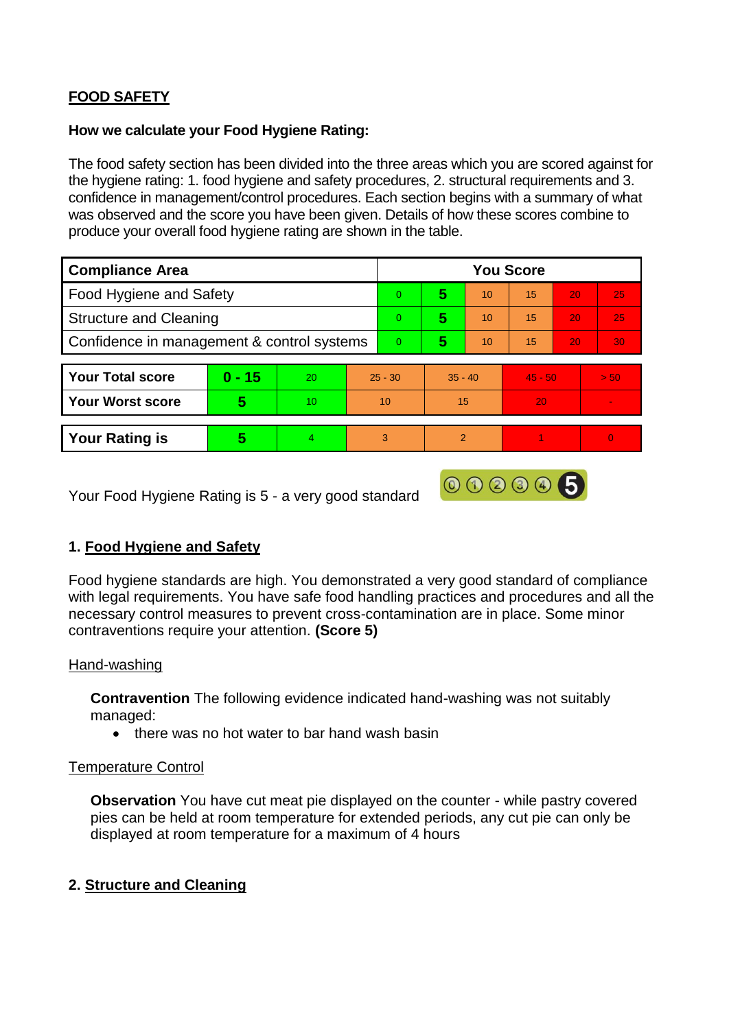# **FOOD SAFETY**

#### **How we calculate your Food Hygiene Rating:**

The food safety section has been divided into the three areas which you are scored against for the hygiene rating: 1. food hygiene and safety procedures, 2. structural requirements and 3. confidence in management/control procedures. Each section begins with a summary of what was observed and the score you have been given. Details of how these scores combine to produce your overall food hygiene rating are shown in the table.

| <b>Compliance Area</b>                     |          |    |           | <b>You Score</b> |               |    |           |    |                |  |  |
|--------------------------------------------|----------|----|-----------|------------------|---------------|----|-----------|----|----------------|--|--|
| Food Hygiene and Safety                    |          |    |           | $\Omega$         | 5             | 10 | 15        | 20 | 25             |  |  |
| <b>Structure and Cleaning</b>              |          |    |           | $\Omega$         | 5             | 10 | 15        | 20 | 25             |  |  |
| Confidence in management & control systems |          |    |           | $\overline{0}$   | 5             | 10 | 15        | 20 | 30             |  |  |
|                                            |          |    |           |                  |               |    |           |    |                |  |  |
| <b>Your Total score</b>                    | $0 - 15$ | 20 | $25 - 30$ |                  | $35 - 40$     |    | $45 - 50$ |    | > 50           |  |  |
| <b>Your Worst score</b>                    | 5        | 10 | 10        |                  | 15            |    | 20        |    | $\blacksquare$ |  |  |
|                                            |          |    |           |                  |               |    |           |    |                |  |  |
| <b>Your Rating is</b>                      | 5        | 4  |           | 3                | $\mathcal{P}$ |    |           |    | 0              |  |  |

Your Food Hygiene Rating is 5 - a very good standard

## **1. Food Hygiene and Safety**

Food hygiene standards are high. You demonstrated a very good standard of compliance with legal requirements. You have safe food handling practices and procedures and all the necessary control measures to prevent cross-contamination are in place. Some minor contraventions require your attention. **(Score 5)**

000005

### Hand-washing

**Contravention** The following evidence indicated hand-washing was not suitably managed:

• there was no hot water to bar hand wash basin

#### Temperature Control

**Observation** You have cut meat pie displayed on the counter - while pastry covered pies can be held at room temperature for extended periods, any cut pie can only be displayed at room temperature for a maximum of 4 hours

### **2. Structure and Cleaning**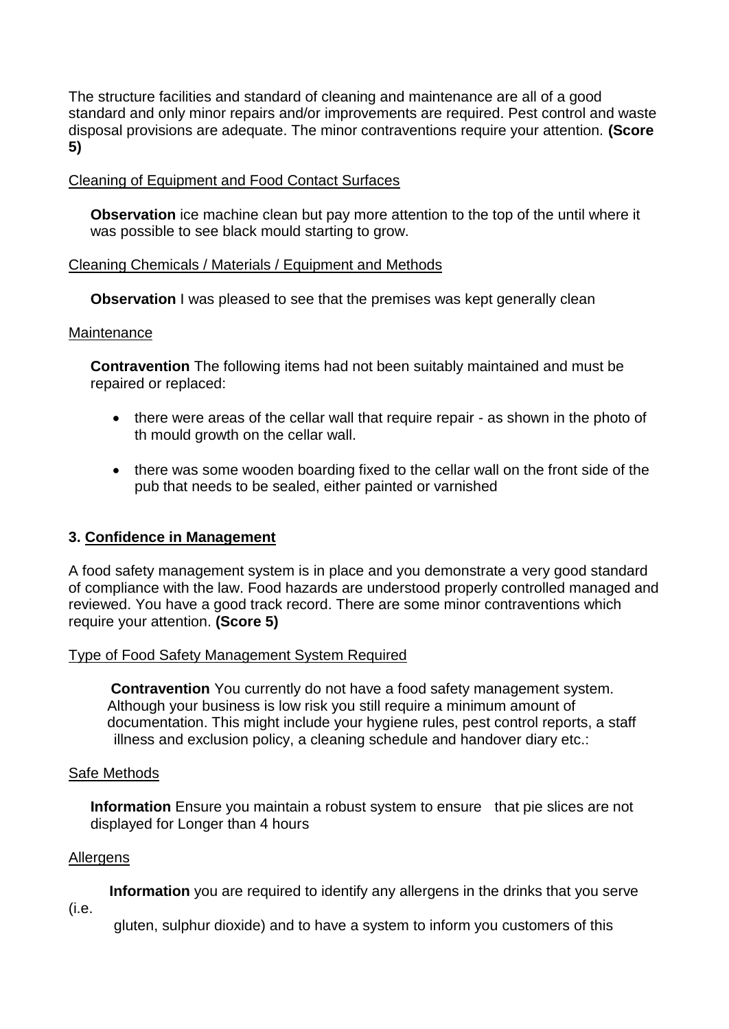The structure facilities and standard of cleaning and maintenance are all of a good standard and only minor repairs and/or improvements are required. Pest control and waste disposal provisions are adequate. The minor contraventions require your attention. **(Score 5)**

## Cleaning of Equipment and Food Contact Surfaces

**Observation** ice machine clean but pay more attention to the top of the until where it was possible to see black mould starting to grow.

### Cleaning Chemicals / Materials / Equipment and Methods

**Observation** I was pleased to see that the premises was kept generally clean

#### **Maintenance**

**Contravention** The following items had not been suitably maintained and must be repaired or replaced:

- there were areas of the cellar wall that require repair as shown in the photo of th mould growth on the cellar wall.
- there was some wooden boarding fixed to the cellar wall on the front side of the pub that needs to be sealed, either painted or varnished

### **3. Confidence in Management**

A food safety management system is in place and you demonstrate a very good standard of compliance with the law. Food hazards are understood properly controlled managed and reviewed. You have a good track record. There are some minor contraventions which require your attention. **(Score 5)**

### Type of Food Safety Management System Required

 **Contravention** You currently do not have a food safety management system. Although your business is low risk you still require a minimum amount of documentation. This might include your hygiene rules, pest control reports, a staff illness and exclusion policy, a cleaning schedule and handover diary etc.:

#### Safe Methods

**Information** Ensure you maintain a robust system to ensure that pie slices are not displayed for Longer than 4 hours

### **Allergens**

 **Information** you are required to identify any allergens in the drinks that you serve

(i.e.

gluten, sulphur dioxide) and to have a system to inform you customers of this